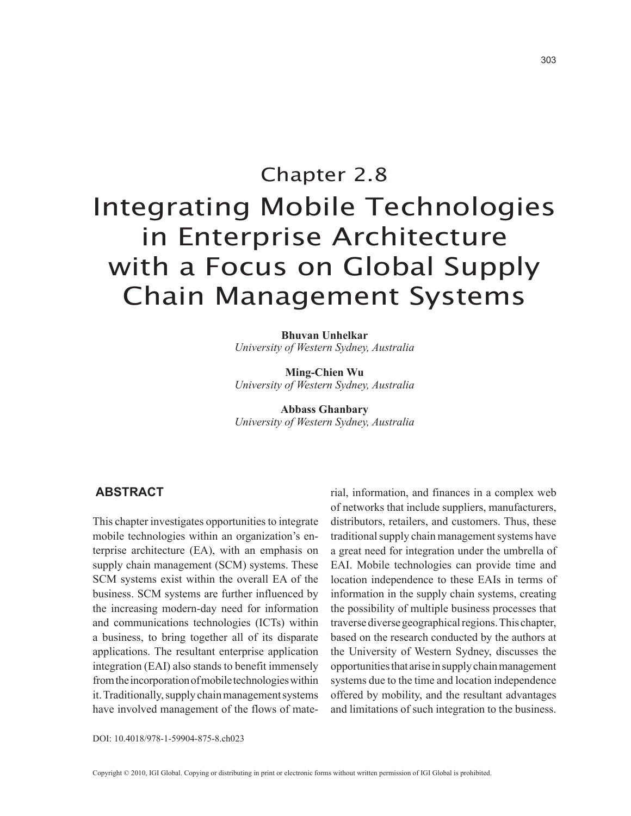303

# Chapter 2.8 Integrating Mobile Technologies in Enterprise Architecture with a Focus on Global Supply Chain Management Systems

**Bhuvan Unhelkar** *University of Western Sydney, Australia*

**Ming-Chien Wu** *University of Western Sydney, Australia*

**Abbass Ghanbary** *University of Western Sydney, Australia*

## **ABSTRACT**

This chapter investigates opportunities to integrate mobile technologies within an organization's enterprise architecture (EA), with an emphasis on supply chain management (SCM) systems. These SCM systems exist within the overall EA of the business. SCM systems are further influenced by the increasing modern-day need for information and communications technologies (ICTs) within a business, to bring together all of its disparate applications. The resultant enterprise application integration (EAI) also stands to benefit immensely from the incorporation of mobile technologies within it. Traditionally, supply chain management systems have involved management of the flows of material, information, and finances in a complex web of networks that include suppliers, manufacturers, distributors, retailers, and customers. Thus, these traditional supply chain management systems have a great need for integration under the umbrella of EAI. Mobile technologies can provide time and location independence to these EAIs in terms of information in the supply chain systems, creating the possibility of multiple business processes that traverse diverse geographical regions. This chapter, based on the research conducted by the authors at the University of Western Sydney, discusses the opportunities that arise in supply chain management systems due to the time and location independence offered by mobility, and the resultant advantages and limitations of such integration to the business.

DOI: 10.4018/978-1-59904-875-8.ch023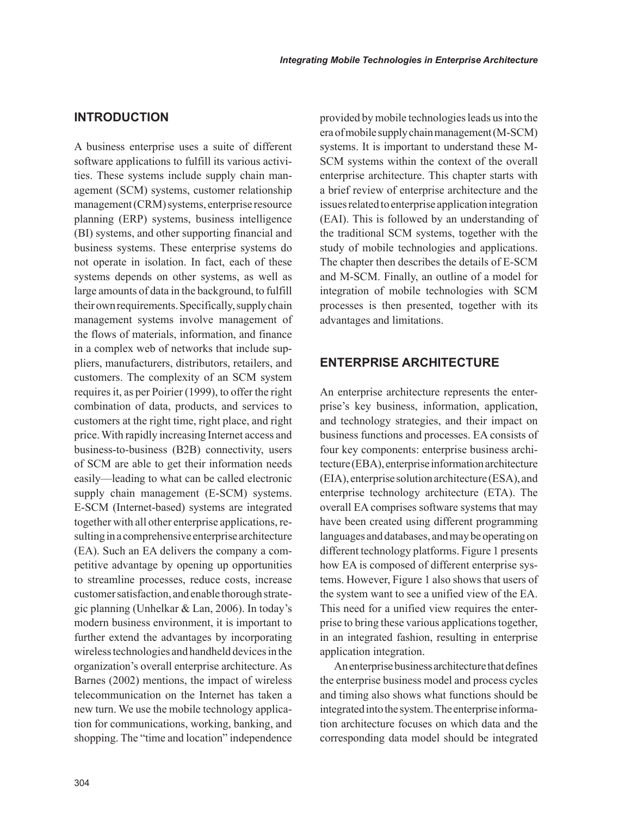## **INTRODUCTION**

A business enterprise uses a suite of different software applications to fulfill its various activities. These systems include supply chain management (SCM) systems, customer relationship management (CRM) systems, enterprise resource planning (ERP) systems, business intelligence (BI) systems, and other supporting financial and business systems. These enterprise systems do not operate in isolation. In fact, each of these systems depends on other systems, as well as large amounts of data in the background, to fulfill their own requirements. Specifically, supply chain management systems involve management of the flows of materials, information, and finance in a complex web of networks that include suppliers, manufacturers, distributors, retailers, and customers. The complexity of an SCM system requires it, as per Poirier (1999), to offer the right combination of data, products, and services to customers at the right time, right place, and right price. With rapidly increasing Internet access and business-to-business (B2B) connectivity, users of SCM are able to get their information needs easily—leading to what can be called electronic supply chain management (E-SCM) systems. E-SCM (Internet-based) systems are integrated together with all other enterprise applications, resulting in a comprehensive enterprise architecture (EA). Such an EA delivers the company a competitive advantage by opening up opportunities to streamline processes, reduce costs, increase customer satisfaction, and enable thorough strategic planning (Unhelkar & Lan, 2006). In today's modern business environment, it is important to further extend the advantages by incorporating wireless technologies and handheld devices in the organization's overall enterprise architecture. As Barnes (2002) mentions, the impact of wireless telecommunication on the Internet has taken a new turn. We use the mobile technology application for communications, working, banking, and shopping. The "time and location" independence provided by mobile technologies leads us into the era of mobile supply chain management (M-SCM) systems. It is important to understand these M-SCM systems within the context of the overall enterprise architecture. This chapter starts with a brief review of enterprise architecture and the issues related to enterprise application integration (EAI). This is followed by an understanding of the traditional SCM systems, together with the study of mobile technologies and applications. The chapter then describes the details of E-SCM and M-SCM. Finally, an outline of a model for integration of mobile technologies with SCM processes is then presented, together with its advantages and limitations.

## **ENTERPRISE ARCHITECTURE**

An enterprise architecture represents the enterprise's key business, information, application, and technology strategies, and their impact on business functions and processes. EA consists of four key components: enterprise business architecture (EBA), enterprise information architecture (EIA), enterprise solution architecture (ESA), and enterprise technology architecture (ETA). The overall EA comprises software systems that may have been created using different programming languages and databases, and may be operating on different technology platforms. Figure 1 presents how EA is composed of different enterprise systems. However, Figure 1 also shows that users of the system want to see a unified view of the EA. This need for a unified view requires the enterprise to bring these various applications together, in an integrated fashion, resulting in enterprise application integration.

An enterprise business architecture that defines the enterprise business model and process cycles and timing also shows what functions should be integrated into the system. The enterprise information architecture focuses on which data and the corresponding data model should be integrated